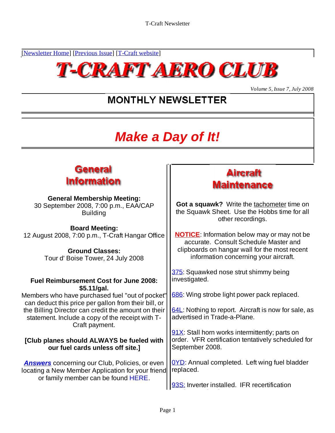[Newsletter Home] [Previous Issue] [T-Craft website]



*Volume 5, Issue 7, July 2008*

## **MONTHLY NEWSLETTER**

# **Make a Day of It!**



#### **General Membership Meeting:**<br>eptember 2008, 7:00 p.m., FAA/CAP **Cot a squawk?** Write the tachometer time on 30 September 2008, 7:00 p.m., EAA/CAP

**Board Meeting:** 12 August 2008, 7:00 p.m., T-Craft Hangar Office

Tour d' Boise Tower, 24 July 2008

#### **Fuel Reimbursement Cost for June 2008: \$5.11/gal.** Members who have purchased fuel "out of pocket" can deduct this price per gallon from their bill, or the Billing Director can credit the amount on their  $\left|\frac{64L}{64L}\right|$ . Nothing to report. Aircra<br>statement, Include a copy of the receipt with T-<br>advertised in Trade-a-Plane. statement. Include a copy of the receipt with T- Craft payment. **[Club planes should ALWAYS be fueled with our fuel cards unless off site.] Answers** concerning our Club, Policies, or even locating a New Member Application for your friend Or September 2008, 7:00 p.m., EAAVCAP<br>
Board Meeting:<br>
Board Meeting:<br>
Board Meeting:<br>
gust 2008, 7:00 p.m., T-Craft Hangar Office<br>
Solometer inter consults check to be the Hobbs time for all<br>
different consults consults c investigated. 686: Wing strobe light power pack replaced. 64L: Nothing to report. Aircraft is now for sale, as advertised in Trade-a-Plane. 91X: Stall horn works intermittently; parts on order. VFR certification tentatively scheduled for September 2008. **OYD:** Annual completed. Left wing fuel bladder replaced. The contract of the contract of the contract of the contract of the contract of the contract of the contract of the contract of the contract of the contract of the contract of the contract of the contract of the

## **Aircraft Maintenance**

Building **the Squawk Sheet.** Use the Hobbs time for all other recordings.

Ground Classes: **Container and Classes: Container Classes: container and Classes:**  $\begin{bmatrix} \cdot & \cdot & \cdot \\ \cdot & \cdot & \cdot \\ \cdot & \cdot & \cdot \\ \cdot & \cdot & \cdot \end{bmatrix}$  clipboards on hangar wall for the most recent **NOTICE**: Information below may or may not be accurate. Consult Schedule Master and information concerning your aircraft.

375: Squawked nose strut shimmy being

93S: Inverter installed. IFR recertification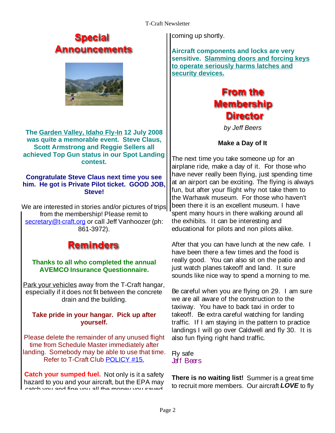### Special Announcements



**The Garden Valley, Idaho Fly-In 12 July 2008 was quite a memorable event. Steve Claus, Scott Armstrong and Reggie Sellers all achieved Top Gun status in our Spot Landing** 

#### **Congratulate Steve Claus next time you see him. He got is Private Pilot ticket. GOOD JOB,**

We are interested in stories and/or pictures of trips secretary@t-craft.org or call Jeff Vanhoozer (ph:

## **Reminders**

# **Thanks to all who completed the annual**

Park your vehicles away from the T-Craft hangar, especially if it does not fit between the concrete

Please delete the remainder of any unused flight time from Schedule Master immediately after landing. Somebody may be able to use that time. Fly safe Refer to T-Craft Club **POLICY #15.** Just Flowers

**Catch your sumped fuel.** Not only is it a safety hazard to you and your aircraft, but the EPA may catch you and fine you all the money you saved

coming up shortly.

**Aircraft components and locks are very sensitive. Slamming doors and forcing keys to operate seriously harms latches and security devices.**



by Jeff Beers

**Make a Day of It**

**contest.** The next time you take someone up for an **Steve!** Fun, but after your flight why not take them to from the membership! Please remit to spent many hours in there walking around all 861-3972). educational for pilots and non pilots alike. airplane ride, make a day of it. For those who have never really been flying, just spending time at an airport can be exciting. The flying is always the Warhawk museum. For those who haven't been there it is an excellent museum. I have the exhibits. It can be interesting and

**AVEMCO Insurance Questionnaire.** After that you can have lunch at the new cafe. I have been there a few times and the food is really good. You can also sit on the patio and just watch planes takeoff and land. It sure sounds like nice way to spend a morning to me.

drain and the building. we are all aware of the construction to the **Take pride in your hangar. Pick up after** itakeoff. Be extra careful watching for landing **yourself.**  traffic. If I am staying in the pattern to practice Be careful when you are flying on 29. I am sure taxiway. You have to back taxi in order to landings I will go over Caldwell and fly 30. It is also fun flying right hand traffic.

> Fly safe and the state of the state of the state of the state of the state of the state of the state of the state of the state of the state of the state of the state of the state of the state of the state of the state of t Jeff Beers

**There is no waiting list!** Summer is a great time to recruit more members. Our aircraft **LOVE** to fly